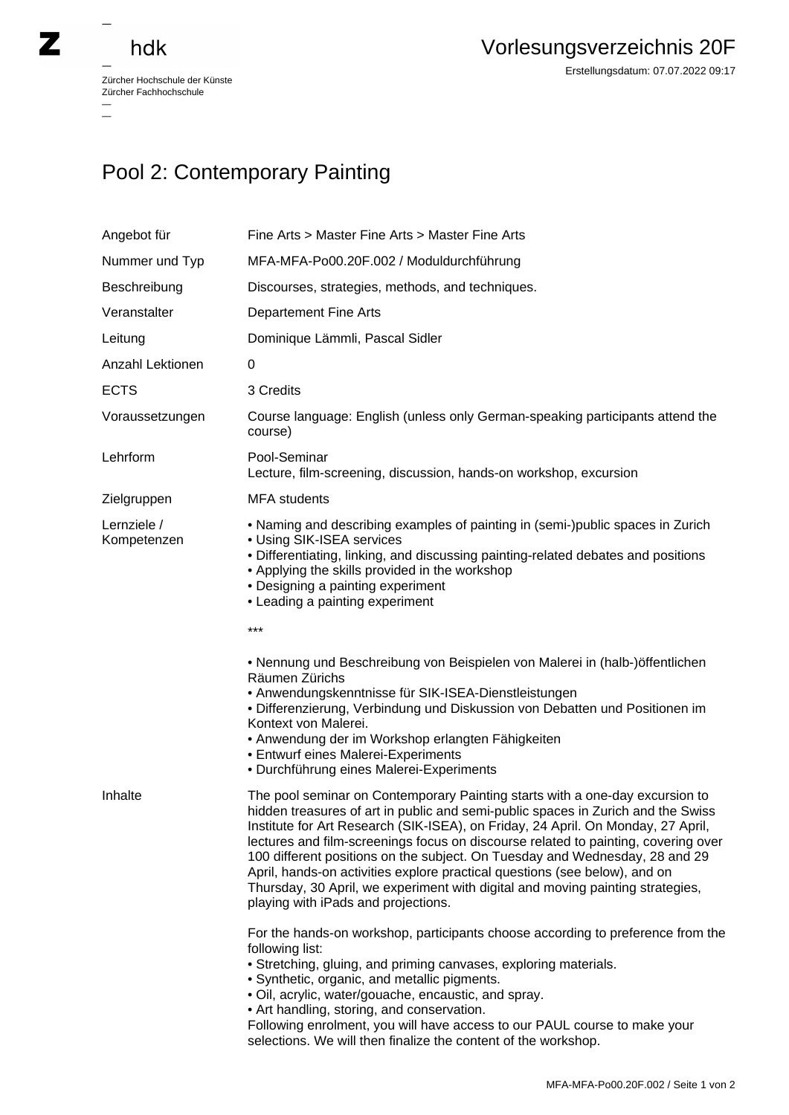## hdk

—

Zürcher Hochschule der Künste Zürcher Fachhochschule —

## Pool 2: Contemporary Painting

| Angebot für                | Fine Arts > Master Fine Arts > Master Fine Arts                                                                                                                                                                                                                                                                                                                                                                                                                                                                                                                                                                                  |
|----------------------------|----------------------------------------------------------------------------------------------------------------------------------------------------------------------------------------------------------------------------------------------------------------------------------------------------------------------------------------------------------------------------------------------------------------------------------------------------------------------------------------------------------------------------------------------------------------------------------------------------------------------------------|
| Nummer und Typ             | MFA-MFA-Po00.20F.002 / Moduldurchführung                                                                                                                                                                                                                                                                                                                                                                                                                                                                                                                                                                                         |
| Beschreibung               | Discourses, strategies, methods, and techniques.                                                                                                                                                                                                                                                                                                                                                                                                                                                                                                                                                                                 |
| Veranstalter               | <b>Departement Fine Arts</b>                                                                                                                                                                                                                                                                                                                                                                                                                                                                                                                                                                                                     |
| Leitung                    | Dominique Lämmli, Pascal Sidler                                                                                                                                                                                                                                                                                                                                                                                                                                                                                                                                                                                                  |
| Anzahl Lektionen           | 0                                                                                                                                                                                                                                                                                                                                                                                                                                                                                                                                                                                                                                |
| <b>ECTS</b>                | 3 Credits                                                                                                                                                                                                                                                                                                                                                                                                                                                                                                                                                                                                                        |
| Voraussetzungen            | Course language: English (unless only German-speaking participants attend the<br>course)                                                                                                                                                                                                                                                                                                                                                                                                                                                                                                                                         |
| Lehrform                   | Pool-Seminar<br>Lecture, film-screening, discussion, hands-on workshop, excursion                                                                                                                                                                                                                                                                                                                                                                                                                                                                                                                                                |
| Zielgruppen                | <b>MFA</b> students                                                                                                                                                                                                                                                                                                                                                                                                                                                                                                                                                                                                              |
| Lernziele /<br>Kompetenzen | . Naming and describing examples of painting in (semi-)public spaces in Zurich<br>• Using SIK-ISEA services<br>• Differentiating, linking, and discussing painting-related debates and positions<br>• Applying the skills provided in the workshop<br>• Designing a painting experiment<br>• Leading a painting experiment                                                                                                                                                                                                                                                                                                       |
|                            | ***                                                                                                                                                                                                                                                                                                                                                                                                                                                                                                                                                                                                                              |
|                            | • Nennung und Beschreibung von Beispielen von Malerei in (halb-)öffentlichen<br>Räumen Zürichs<br>• Anwendungskenntnisse für SIK-ISEA-Dienstleistungen<br>· Differenzierung, Verbindung und Diskussion von Debatten und Positionen im<br>Kontext von Malerei.<br>• Anwendung der im Workshop erlangten Fähigkeiten<br>• Entwurf eines Malerei-Experiments<br>• Durchführung eines Malerei-Experiments                                                                                                                                                                                                                            |
| Inhalte                    | The pool seminar on Contemporary Painting starts with a one-day excursion to<br>hidden treasures of art in public and semi-public spaces in Zurich and the Swiss<br>Institute for Art Research (SIK-ISEA), on Friday, 24 April. On Monday, 27 April,<br>lectures and film-screenings focus on discourse related to painting, covering over<br>100 different positions on the subject. On Tuesday and Wednesday, 28 and 29<br>April, hands-on activities explore practical questions (see below), and on<br>Thursday, 30 April, we experiment with digital and moving painting strategies,<br>playing with iPads and projections. |
|                            | For the hands-on workshop, participants choose according to preference from the<br>following list:<br>• Stretching, gluing, and priming canvases, exploring materials.<br>• Synthetic, organic, and metallic pigments.<br>. Oil, acrylic, water/gouache, encaustic, and spray.<br>• Art handling, storing, and conservation.<br>Following enrolment, you will have access to our PAUL course to make your<br>selections. We will then finalize the content of the workshop.                                                                                                                                                      |